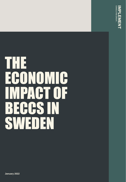

# THE ECONOMIC IMPACT OF **BECCS IN** SWEDEN

**January 2022**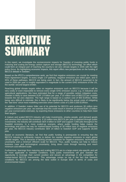# EXECUTIVE SUMMARY

In this report, we investigate the socioeconomic impacts for Sweden of investing public funds in maturing and scaling bio-energy carbon capture and storage (BECCS) technology. An effort which could form an integral part of reaching the country's net zero climate targets in 2045 with the right policy focus. By highlighting economic impacts, this report offers new perspectives on the funding of BECCS debate in Sweden.

Based on the IPCC's comprehensive work, we find that negative emissions are crucial for meeting Paris Agreement targets. In every single 1.5<sup>o</sup> pathway, negative emissions are relied upon, and in 95% of these pathways, BECCS are being used. In fact, the amount of BECCS assumed to be used in 2050 per year is roughly equivalent in magnitude to the current GHG emissions of the US, the worlds' second largest emitter.

Reaching global climate targets relies on negative emissions such as BECCS because it will be very costly or even impossible to remove every single GHG emission source, e.g. in industrial and agricultural applications. We have estimated that for a range of possible carbon mitigation costs, Sweden is likely to save between EUR 1-8 billion per year, if 10 million tons of BECCS are counted towards the net zero objective. The high range is based on a carbon cost of 900 EUR/ton. While being very difficult to estimate, this is likely to be significantly below the actual costs of mitigating the "last tons" since most modelling exercises show carbon costs of 2,000-3,000 EUR/ton.

In addition, if Sweden makes fuller use of its potential for BECCS and produces 30 million tons negative emissions per year, we estimate that this could result in revenue of around EUR 1.8 billion per year (conservative estimate), by exporting these emissions to other countries to help them meet their targets.

A mature and scaled BECCS industry will make investments, employ people, and demand goods and services from across the economy. If 10 million tons BECCS per year is realized through public investments, the industry will contribute SEK 6 billion to GDP and support 7,000 jobs throughout the Swedish economy. In a more scaled-up scenario, where public funding helps mature the technology and paves the way for marked-based funding of 30 million tons of negative emissions per year, the BECCS industry contributes SEK 24 billion to Swedish GDP and supports 28,000 jobs.

Based on economic literature, we find that public funding is prerequisite to ensuring that the BECCS industry is sufficiently mature to deliver the needed negative emissions to reach global climate targets. This is because of lacking private incentives for negative emissions, technological uncertainty and a minimum efficient scale for BECCS. Thus, public funding can help to reduce business case and technological uncertainty, bring down costs through learning and reach minimum cost-efficient scale.

Furthermore, learnings from maturing and scaling BECCS are to a large extent site-specific and will be more applicable to Swedish conditions. Early public investments will give Sweden the opportunity to leverage their current position and secure an advantage in the competition for market-based BECCS investments. This advantage comes on top of the fact that Swedish conditions for BECCS are among the best suited in Europe both in terms of costs and environmental impact.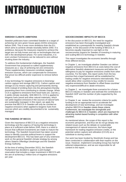# INTRODUCTION

### **SWEDISH CLIMATE AMBITIONS**

Swedish politicians have committed Sweden to a target of achieving net zero green house gases (GHG) emissions before 2045. This is even more ambitious than the EU, which aims to achieve climate neutrality before 2050. It is ambitious, because the measures required to achieve the target are not fully known and rely on technologies that are still in the development phase. For some industries, it is even unclear if emissions can be reduced to zero without shutting down the industry.

To address this fundamental challenges, the Swedish Government has proposed so-called supplementary measures as a way of achieving net zero emissions. These supplementary measures constitute negative emission sources, which can compensate for emissions that prove too difficult and/or expensive to remove before 2045.

A key technology for negative emissions is bioenergy carbon capture and storage (BECCS). Carbon capture and storage (CCS) means capturing and permanently storing GHG instead of emitting them into the atmosphere thereby preventing them from contributing to climate change. When CCS is applied to emissions from fossil fuels (oil, coal etc.), it yields climate neutrality. With BECCS, CCS is applied to biogenic fuels (wood and other natural materials), which can yield negative emissions if the sources of natural fuels are sustainably managed. In this report, we apply the premise that BECCS in Sweden will only be counted as negative emissions when applied to biogenic fuels from sources which are credibly documented to be sustainably managed.

### **THE FUNDING OF BECCS**

Given the importance of BECCS as a negative emissions technology and the urgency of having the technology in place at a sufficient scale before 2045, there is a need to ensure that sufficient investments are made to mature the technology. The Swedish Government has taken several steps to identify concrete political levers to support the development BECCS. This has been part of very extensive work on the general Swedish climate strategy by among others Statens Offentliga Utredningar and the Swedish Energy Authority.

At the time of writing (December 2021), the Swedish Parliament has decided to approve a joint budget reservation that includes a major investment in BECCS with the aim of achieving 2 million tons of negative emissions per year.

### **SOCIOECONOMIC IMPACTS OF BECCS**

In the discussion on BECCS, the need for negative emissions has been thoroughly investigated and established as a prerequisite for meeting Swedish climate targets. In the discussion of the funding of BECCS, it becomes equally important to cast light on the socioeconomic impacts for Sweden of investing in maturing and scaling BECCS technology in Sweden.

This report investigates the economic benefits through three different lenses.

In Chapter 1, we investigate whether Sweden can deliver negative emissions from BECCS at costs below the cost of alternative Swedish abatement measures and below the willingness to pay for negative emissions credits from other countries. For the latter, this report works from the key premise that a legal framework will be established for trading credits for negative emissions internationally. This would allow other countries to buy credits for excess negative emissions from Sweden to offset these countries' very expensive/difficult to abate emissions.

In Chapter 2, we investigate three scenarios for a future BECCS industry in Sweden and estimate the contribution to Swedish GDP and the number of jobs supported by the industry.

In Chapter 3, we review the economic criteria for public funding to be an appropriate tool to accelerate the development of new technology, and we investigate whether BECCS in Sweden meets these criteria. Furthermore, we investigate the strongholds and challenges for BECCS in Sweden, which are important for attracting market-based funding in competition with other countries.

As mentioned above, the scope of this report is the economic perspective, and thus we do not go deeply into related issues such as the debate on sustainable management of natural resources, the future legal framework for trading negative emission credits, or the potential carbon capture and utilization (CCUS) as a substitute to storing carbon.

Our work has been funded by Stockholm Exergi and has been conducted in collaboration with their experts on the issue. However, Implement Consulting Group has had full editorial independence, and we are responsible for all content in the report.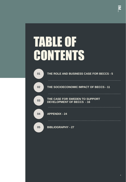# TABLE OF **CONTENTS**

| 01 | THE ROLE AND BUSINESS CASE FOR BECCS - 5                           |
|----|--------------------------------------------------------------------|
| 02 | THE SOCIOECONOMIC IMPACT OF BECCS - 11                             |
| 03 | THE CASE FOR SWEDEN TO SUPPORT<br><b>DEVELOPMENT OF BECCS - 16</b> |
| 04 | <b>APPENDIX - 24</b>                                               |
| 05 | <b>BIBLIOGRAPHY - 27</b>                                           |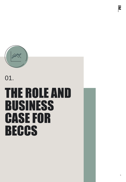

01.

# THE ROLE AND BUSINESS CASE FOR **BECCS**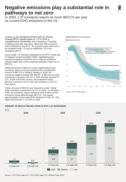## **Negative emissions play a substantial role in pathways to net zero**

In 2050, 1.5<sup>o</sup> scenarios require as much BECCS per year as current GHG emissions in the US.

Leading up the Intergovernmental Panel on Climate Change (IPCC) special report on 1.5<sup>o</sup> in 2018, a comprehensive coordination and comparison of leading modelling exercises was done. More than 500 scenarios were submitted to the IPCC. 90 scenarios were deemed to be consistent with 1.5<sup>o</sup> and an additional 132 to be consistent with 2⁰.

Every single 1.5⁰ scenario assessed by the IPCC made use of negative emissions before  $2050<sup>1</sup>$  highlighting how important negative emissions are to meet an ambitious climate target. 95% of the analyzed pathways made use of BECCS.

While the amount of BECCS varies significantly across scenarios, there is strong consensus that a substantial amount of BECCS is needed. Already in 2030, the scenarios suggest around 100-300 MT of BECCS per year, increasing to around 4-9,5 GT in 2050 (median around 5-7 GT). At the end of the century, the projections imply BECCS of around 8-16 GT per year (median 12-15 GT).<sup>2</sup> (see figure)

These amounts of BECCS are massive in scale. Global GHG emissions amounted to 52 GT in 2019,<sup>3</sup> so already in 2050, the scenarios require around 8-18% of total current emissions being offset through BECCS. This equals approximately current total GHG emissions of the US. This figure will increase to 15-30% in 2100.

### Global total net CO<sub>2</sub> emissions

Billion tonnes of CO<sub>2</sub>/yr



Source: IPCC (2018), page 13

### **AMOUNT OF BECCS RELIED UPON IN IPCC 1.5⁰ SCENARIOS**



Sources: 1 IPCC (2018), page 122 \\ <sup>2</sup> IPCC (2018), page 119 \\ <sup>3</sup> Rhodium Group (2021)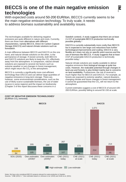#### Notes: We have only considered BECCS projects relevant for scale production in Sweden. Sources: <sup>1</sup> CNE (2021) \\ <sup>2</sup> Own estimates based on Johnsson et al. (2020) and Smith et al. (2021)

## **BECCS is one of the main negative emission technologies**

With expected costs around 50-200 EUR/ton, BECCS currently seems to be the main negative emission technology. To truly scale, it needs to address biomass sustainability and availability issues.

The technologies available for delivering negative emissions are quite different in nature and costs. Currently, there are three main alternatives with different characteristics, namely BECCS, Direct Air Carbon Capture Storage (DACCS) and natural climate solutions such as forestation.

A main difference between BECCS and DACCS on the one hand, and natural climate solutions on the other, is the permanence of storage. If stored correctly, both BECCS and DACCS solutions are likely to keep the  $CO<sub>2</sub>$  effectively away from the atmosphere. In comparison, natural climate solutions are exposed to several risk factors such as extreme weather or just changes in forest management, which might return the CO $_2$  to the atmosphere.

BECCS is currently a significantly more cost-efficient technology than DACCS and can deliver large quantities of negative emissions in long-term storage. There are, however, some environmental considerations, such as the use of likely scarce sustainable biomass, the use of water (scarce in some regions) and the impact on biodiversity (Chapter 3 of this report discusses these concerns in a

Swedish context). A study suggests that there are at least 2-4 GT of sustainable BECCS production technically possible globally.<sup>1</sup>

DACCS is currently substantially more costly than BECCS but is expected to see large cost reductions from further technological improvements and scaling. DACCS is very flexible as it does not rely on specific point sources and the use of biomass like BECCS. A study suggests that at least 4 GT of sustainable DACCS production is technically possible today.<sup>1</sup>

Natural climate solutions are readily available to deliver negative emissions from biological storage at quite low costs. However, the realizable potential through changes in land-use and forestry is also limited mainly due to concerns on land availability. Furthermore, the risk of reversal is much higher than for BECCS and DACCS. For example, as forests are exposed to extreme weather, natural disasters, changing climate and future changes in forest management it cannot be guaranteed that the  $CO<sub>2</sub>$  will not return to the atmosphere.

Current estimates suggest a cost of BECCS of around 100- 200 EUR/ton, possibly falling to around 50-150 at scale.

1,071

### **COST OF NEGATIVE EMISSION TECHNOLOGIES**<sup>2</sup> (EUR/ton CO<sub>2</sub> removed)



**BECCS DACCS**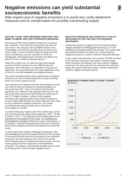## **Negative emissions can yield substantial socioeconomic benefits**

Main impact case of negative emissions is to avoid very costly abatement measures and as compensation for possibly overshooting targets.

### **GETTING TO NET ZERO REQUIRES REMOVING VERY HARD TO ABATE AND VERY EXPENSIVE EMISSIONS**

Removing all GHG from Swedish territories is a massive task. However, it has become increasingly clear that we can come a very long way with available solutions and technologies, and that the transition does not have to be overly costly. A recent Swedish study concludes that the costs of achieving a net zero scenario for 2045 are manageable, and product price increases are likely to be below 1% even in difficult industrial sectors.<sup>1</sup>

While this is likely true, it is also true that removing all sources of GHG is going to be very difficult and very expensive. Some emissions, in particular in industry and agriculture, are associated with very large abatement costs or have no currently available technological solution.

The study mentioned above relies significantly on negative emissions (10-15% of total reductions) to avoid removing these very hard to abate sources.

The importance of negative emission technologies to avoid very hard-to-remove emissions is clearly illustrated in a new study from MIT.<sup>2</sup> Here, the authors find that with significant use of BECCS, the required carbon price in the EU can be kept around 210-220 EUR/ton to meet both 2<sup>o</sup> and 1.5<sup>°</sup> targets. However, without using negative emissions, the required carbon price would increase to a massive 2000-2850 EUR/ton by 2080-2100 due to the need for very expensive mitigation measures. This would, according to the study, translate into a reduction in consumption of 13-19%.

A similar finding was made by the IPCC where many of the 1.5⁰ scenarios found carbon prices between 1,000 – 10,000 EUR/ton in 2070.<sup>3</sup> The exact size of the carbon price is not important for the purpose of this study, as modelling and technological uncertainty of this time scale is tremendous. It is, however, important that getting rid of that last remaining GHG without negative emissions will likely prove extremely costly.

A recent report from Statens Offentliga Utredningar<sup>4</sup> also acknowledged this point and stated that even if we succeed in removing all fossil fuel use and emissions from industrial processes, we will continue to emit 15% of our current GHG emissions due to methane and nitrous oxide. Sources coming particularly from agriculture and wastewater treatment. The authors conclude that Sweden cannot reach its climate goals in 2045 through mitigation alone.

### **NEGATIVE EMISSIONS ARE ESSENTIAL IF POLICY MEASURES DO NOT DELIVER THE REQUIRED ABATEMENT**

Substantial evidence suggest that the remaining carbon budget available for limiting global warming to 1.5<sup>o</sup> will probably be exhausted within this decade. The carbon debt generated thereafter will need to be compensated by negative emissions in order to prevent increased warming.<sup>5</sup>

In fact, while most pathways rely on about 70-90% of actual GHG reduction measures, the reality is that the longer these measures are delayed, the more need for negative emissions. For each year that we overshoot the reduction target, the carbon debt will increase, and the subsequent need for negative emissions grows.

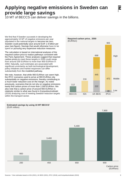## **Applying negative emissions in Sweden can provide large savings**

10 MT of BECCS can deliver savings in the billions.

We find that if Sweden succeeds in developing the approximately 10 MT of negative emissions per year stipulated in the national targets to become net zero, Sweden could potentially save around EUR 1-8 billion per year (see figure). Savings that would otherwise have to be spent on pursuing very expensive reduction measures.

The calculation is based on international analyses of the required carbon price to realize pathways consistent with the Paris Agreement. These analyses suggest that required carbon prices to meet these targets in 2050 could range from around 200 EUR/ton to more than 900 EUR/ton in 2050. Naturally, such estimates are associated with significant uncertainty as both technological development, policy initiatives and market responses can differ substantially from the modelled pathway.

We note, however, that while 900 EUR/ton can seem high, the IPCC scenarios used to arrive at 900 EUR/ton rely substantially on negative emissions, thereby contributing to a much lower reduction cost on the margin. As noted previously, scenarios that do not rely on negative emissions easily find carbon prices of more than 2,000 EUR/ton. We also note that a carbon price of around 900 EUR/ton is relatively similar to what was found in Konjunkturinstitutet (2019) analyzing cost of meeting Swedish reduction targets within the transport sector.



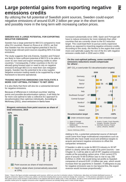# **SWEDEN HAS A LARGE POTENTIAL FOR EXPORTING**  and possibly more in the long term with increasing carbon prices.

**Large potential gains from exporting negative** 

By utilizing the full potential of Swedish point sources, Sweden could export

negative emissions of around EUR 2 billion per year in the short term

Sweden has a large potential for BECCS compared to most other EU countries. Based on Rosa et al. (2021), we find that Sweden has the second highest potential in the EU, having large relevant point sources equalling 58% if its total emissions.

**NEGATIVE EMISSIONS**

**emissions credits** 

The study suggests that only Estonia, Sweden and Finland are likely to have sufficient potential of BECCS to be able to cover its own need and export remaining credits to other countries.<sup>1</sup> Consequently, if other countries in the EU (or abroad) going forward want or need to rely on negative emissions through BECCS to meet their own mitigation targets, Sweden has the potential to be a key supplier. Negative emission trading needs to be supported by a legal framework to become operational.

### **TRADING NEGATIVE EMISSIONS CAN FACILITATE A MORE COST-OPTIMAL PATHWAY TO NET ZERO**

It is also likely that there will also be a substantial demand for negative emissions.

Because of differences in individual countries' starting points and possible decarbonisation options, it will likely be far more cost optimal to take a collective EU approach to decarbonisation than optimise individually. According to McKinsey (2021), since emissions in Iberia have

### **Biogenic emissions from point sources as share of total emissions, 2019**



increased substantially since 1990, Spain and Portugal will have to reduce emissions far more relatively than other countries that are currently closer to the EU reduction target. This could lead them to pursue overly expensive options as opposed to importing negative emission credits. According to this study, the Nordics is the region that could most cost-optimally supply the rest of the EU with negative emission credits both in 2030 and in 2050.

### **On the cost-optimal pathway, some countries' emissions reductions would compensate for others'.**

(MT CO<sub>2</sub>-e over/under EU decarbonization targets)



Adding to this, a potential substantial source of demand could come from large multinational corporations such as Microsoft who have made vocal and ambitious targets to acquire permanent negative emissions to offset the companies' emissions.

If Sweden is able to scale its BECCS industry to 30 MT (which is clearly within the range of its point sources – see Chapter 3), it will be able to sell 20 MT negative emissions credits at the prevailing carbon price. If the current ETS price of around 70-80 EUR/ton was to rise to say 200 EUR/ton in 2030, this would bring net profits to Swedish companies of around EUR 1.8 billion per year, which would increase their tax payments in Sweden. If willingness to pay for negative emissions was to rise beyond this, the export revenue would increase proportionally.<sup>2</sup>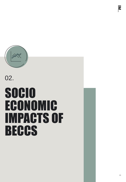

# SOCIO ECONOMIC IMPACTS OF **BECCS** 02.

 $\overline{\mathbf{z}}$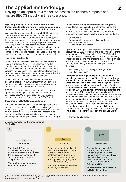# **The applied methodology**

Relying on an input-output model, we assess the economic impacts of a mature BECCS industry in three scenarios.

### **Input-output analysis uses data on inter-industry transactions to estimate how increased demand in one sector impacts GDP and jobs in the entire economy.**

We model three scenarios of a mature BECCS industry in Sweden. The size of the mature industry depends on investments into the BECCS industry in the coming years. In the three scenarios, the annual capture and storage vary from 2-30 MT  $CO<sub>2</sub>$  and an average expenditure of EUR 114-142 per ton  $CO<sub>2</sub>$  (see bottom figure for overview). When the amount of  $CO<sub>2</sub>$  captured increases from scenario I to II and III the price per ton decreases because of learnings, and the price increases because more difficult to exploit point sources must be used to reach larger scale.

### **The input-output model**

The input-output model builds on the OECD's Structural Analysis Database (STAN). This database provides Swedish input-output tables for 36 industries<sup>1</sup> along with data on employment and labor compensation. The model provides industry specific multipliers for employment and GDP. An inherent feature of input-output models is that the structures of inter-industry flows are constant.<sup>2</sup>

The input-output model can be used to assess the economic impact of a BECCS industry in Sweden. The economic impact is measured in terms of jobs supported and the GDP contribution from the industry.

BECCS is a new technology, and the industry does not appear in current input-output tables. We therefore construct a BECCS industry based on the expected composition and level of activity at the BECCS facilities.

### **Investments in BECCS increase demand**

We base the estimate of the size and composition of the increase in demand on expenditures from Stockholm Exergi's existing test facilities and the literature.<sup>3</sup> The main cost drivers in the BECCS industry are expected to be capital expenditures on construction, facility maintenance and equipment, and expenditures on transport and storage.

### **Construction, facility maintenance and equipment.**

Expenditures on construction, facility maintenance and equipment are capital costs that are expected to account for around 40% of total expenditures. The industries representing these activities in the input-output model are:

- **Construction**
- Computer, electronics and optical products
- Electrical equipment
- Machinery and equipment

**Operations.** The operational expenditures are expected to account for 10-15% of total expenditures (when accounting for heat recovery). The operation of the BECCS facilities consists mainly of operating the control room, supervising capture on the ground and checking leaks. These activities resemble the activity at an average energy utility. The industry representing the operational expenditures is therefore:

• Electricity, gas, water supply, sewerage, waste and remediation services

**Transport and storage.** Transport and storage are expected to account for around 50% of total expenditures. In scenario I and II, the point sources will be located at the coast, and transport to the storage facilities (most likely oil fields) is expected to be mainly imported, since Sweden currently does not have domestic providers of transport and storage of  $\mathsf{CO}_{2}$ . Expenditures on transport and storage are assumed to be 100% imports in scenarios I and II (no impact on the Swedish economy). In scenario III, we expect there to be multiple point sources in-land, and around 10% of the transport and storage expenditures are assumed to be used for domestic suppliers of transport. In the sensitivity analysis, we will relax the assumption of 100% imported transport and storage and model different scenarios of domestically supplied transport and storage. The industry representing transport and storage activities is:

• Transport and storage



Notes: 1 The industry classification is based on ISIC Rev. 4 (see the UN classifications registry for more details)  $//$  2 The constant structure of inter-industry flows is equivalent to constant returns to scale (Miller & Blair (2009) Sources: <sup>3</sup> Smith et al. (2021) & Johnsson et al. (2020)

### **Demand increase in different scenarios** (EUR million)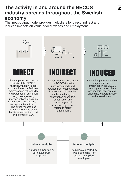## **The activity in and around the BECCS industry spreads throughout the Swedish economy**

The input-output model provides multipliers for direct, indirect and induced impacts on value added, wages and employment.

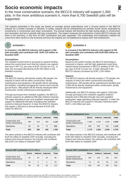# **Socio economic impacts**

In the most conservative scenario, the BECCS industry will support 1,350 jobs. In the more ambitious scenario II, more than 6,700 Swedish jobs will be supported.

The impacts presented in this study are based on average annual expenditures over a 25-year period in the BECCS industry for a certain increase in demand. In reality, impacts will be characterized by periodic bursts driven especially by investments in construction and major renovations. The annual impacts will therefore be high during peaks in construction and renovation and low in periods with less investments. The impact measures the importance a future BECCS industry will have in the economy, in the form of GDP contribution and jobs supported. The investments and employees needed will come from other sectors in the economy and thus the impacts are not additional to todays GDP and employment.



### **I** SCENARIO I **I**

**In scenario I, the BECCS industry will support 1,350 jobs annually and contribute with EUR 110 million to Swedish GDP.** 

### **Assumptions**

The Swedish Government is assumed to expand funding above the current level such that the industry can capture and store 2 MT CO<sub>2</sub> per year at EUR 115 per ton CO<sub>2</sub>. In total, this increases demand by EUR 230 million in the Swedish economy.

### **Impacts**

The BECCS industry will directly employ 560 people, the majority of which will be within construction, facility maintenance and equipment. 80 people will be operating the facilities, including managing the control room and the ground floors. 480 people will be directly employed within construction, facility maintenance and equipment.

Through purchases from Swedish suppliers, the BECCS industry supports an additional 390 jobs (indirect impacts). The wage spending of own and suppliers' employees will support an additional 400 jobs throughout the Swedish economy (induced impacts). In total, the BECCS industry will support 1,350 jobs at annual demand of EUR 230 million for BECCS.

| Annual employment (jobs)                 |               |          |         |       |  |  |  |  |  |
|------------------------------------------|---------------|----------|---------|-------|--|--|--|--|--|
|                                          | <b>Direct</b> | Indirect | Induced | Total |  |  |  |  |  |
| Construction and<br>facility maintenance | 480           | 310      | 330     | 1,120 |  |  |  |  |  |
| Operations                               | 80            | 80       | 70      | 230   |  |  |  |  |  |
| Total                                    | 560           | 390      | 400     | 1,350 |  |  |  |  |  |

The direct activity in the BECCS industry will contribute with EUR 50 million to Swedish GDP annually. Including the indirect and induced impacts, the industry will contribute with EUR 110 million to Swedish GDP.

| <b>Annual GDP contribution (EUR million)</b> |               |    |                    |       |  |  |  |  |  |
|----------------------------------------------|---------------|----|--------------------|-------|--|--|--|--|--|
|                                              | <b>Direct</b> |    | Indirect   Induced | Total |  |  |  |  |  |
| Construction and<br>facility maintenance     | 35            | 25 | 25                 | 85    |  |  |  |  |  |
| Operations                                   | 15            | 5  | 5                  | 25    |  |  |  |  |  |
| Total                                        | 50            | 30 | 30                 | 110   |  |  |  |  |  |



### **II** SCENARIO II

**In scenario II the BECCS industry will support 6,700 jobs annually and contribute with EUR 565 million to Swedish GDP.** 

### **Assumptions**

Based on the public funding, the BECCS technology is assumed to mature, and the high abatement costs drive market-based investments in BECCS yielding 10 MT  $CO<sub>2</sub>$ per year at EUR 114 per ton. In total, demand in the BECCS industry increases by EUR 1,140 million.

### **Impacts**

The BECCS industry will directly employ 2,770 people, the majority of which are within construction and facility maintenance. 390 people will be operating the facilities and 2,380 will be directly employed within construction, facility maintenance and equipment.

Additionally, the BECCS industry will support 1,920 jobs through purchases from Swedish suppliers (indirect impacts) and 2,000 jobs through own and suppliers' employees' wage spending (induced impacts). In total, the BECCS industry will support 6,700 jobs if demand reach EUR 1,140 million per year.

| Annual employment (jobs)                 |               |                 |         |       |
|------------------------------------------|---------------|-----------------|---------|-------|
|                                          | <b>Direct</b> | <b>Indirect</b> | Induced | Total |
| Construction and<br>facility maintenance | 2.380         | 1.530           | 1,650   | 5,560 |
| Operations                               | 390           | 390             | 350     | 1,140 |
| Total                                    | 2.770         | 1,920           | 2,000   | 6,700 |

The direct activity in the BECCS industry will contribute with EUR 250 million to Swedish GDP annually. Including the indirect and induced impact, the industry will contribute with EUR 565 million to Swedish GDP.

| <b>Annual GDP contribution (EUR million)</b> |               |                 |                |       |  |  |  |  |  |
|----------------------------------------------|---------------|-----------------|----------------|-------|--|--|--|--|--|
|                                              | <b>Direct</b> | <b>Indirect</b> | <b>Induced</b> | Total |  |  |  |  |  |
| Construction and<br>facility maintenance     | 180           | 120             | 135            | 430   |  |  |  |  |  |
| Operations                                   | 70            | 35              | 30             | 135   |  |  |  |  |  |
| <b>Total</b>                                 | 250           | 155             | 165            | 565   |  |  |  |  |  |

Notes: Employment figures are rounded to nearest ten and GDP contribution figures are rounded to nearest five. Sources: Implement Economics based the OECD STAN database for structural analysis and on client input

 $\mathbf{r}$ 

コ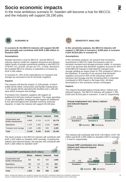# **Socio economic impacts**

In the most ambitious scenario III, Sweden will become a hub for BECCS, and the industry will support 28,190 jobs.



**SCENARIO III** 

### **In scenario III, the BECCS industry will support 28,190 jobs annually and contribute with EUR 2,360 million to Swedish GDP.**

### **Assumptions**

Sweden becomes a hub for BECCS, and the BECCS industry exports credits for negative emissions and attracts higher levels of private investments yielding a total BECCS of 30 MT  $CO_2$  at EUR 142 per ton  $CO_2$ . In total, demand in the Swedish BECCS industry is expected to increase by EUR 4,260 million.

In scenario III, 10% of the expenditures on transport and storage are assumed to be for domestic suppliers.

### **Impacts**

The industry will directly employ 11,530 people, of which 8,880 will be within construction and facility maintenance. 1,470 people will be operating the facilities and 1,180 will work within transport and storage.

Purchases from Swedish suppliers will support an additional 8,240 jobs (indirect impacts). The wage spending of own and suppliers' employees will support an additional 8,410 jobs throughout the Swedish economy (induced impacts). In total, the industry will support 28,190 jobs.

| Annual employment (jobs)                 |               |                 |                |        |  |  |  |  |  |
|------------------------------------------|---------------|-----------------|----------------|--------|--|--|--|--|--|
|                                          | <b>Direct</b> | <b>Indirect</b> | <b>Induced</b> | Total  |  |  |  |  |  |
| Construction and<br>facility maintenance | 8,880         | 5,710           | 6,170          | 20,770 |  |  |  |  |  |
| Operations                               | 1,470         | 1,450           | 1,320          | 4,240  |  |  |  |  |  |
| Transport and storage                    | 1,180         | 1,080           | 920            | 3,180  |  |  |  |  |  |
| Total                                    | 11,530        | 8,240           | 8,410          | 28,190 |  |  |  |  |  |

The direct activity in the BECCS industry will contribute with EUR 1,025 million to Swedish GDP annually. Including the indirect and induced impact, the industry will contribute with EUR 2,360 million to Swedish GDP.

| <b>Annual GDP contribution (EUR million)</b> |               |                 |                |       |  |  |  |  |  |  |
|----------------------------------------------|---------------|-----------------|----------------|-------|--|--|--|--|--|--|
|                                              | <b>Direct</b> | <b>Indirect</b> | <b>Induced</b> | Total |  |  |  |  |  |  |
| Construction and<br>facility maintenance     | 665           | 440             | 500            | 1,605 |  |  |  |  |  |  |
| Operations                                   | 265           | 125             | 105            | 500   |  |  |  |  |  |  |
| Transport and storage                        | 95            | 85              | 75             | 255   |  |  |  |  |  |  |
| <b>Total</b>                                 | 1.025         | 650             | 680            | 2.360 |  |  |  |  |  |  |



**SENSITIVITY ANALYSIS**

### **In the sensitivity analysis, the BECCS industry will support 1,780 jobs in scenario I, 8,820 jobs in scenario II and 35,610 jobs in scenario III.**

### **Assumptions**

In the sensitivity analysis, we assume that increasing investments in BECCS make the business case for domestic transport and storage provision viable. In scenario I and II we assume that domestic suppliers account for 30% of the BECCS industry's total need for transport and storage yielding an import share of 70% (instead of 100% in the baseline). In scenario III we assume that domestic suppliers account for 40% of the industries need for transport and storage and the remaining 60% is imported (compared to 90% import in the base line). All other assumptions in the scenarios remain unchanged.

### **Impacts**

The impacts illustrated below include direct, indirect and induced impacts. The BECCS industry will support 1,780, 8,820 and 35,610 jobs in scenario I, II and III, respectively.



The industry will contribute with EUR 145 million, EUR 735 million and EUR 2,955 million to Swedish GDP in scenario I, II and III, respectively.



Notes: Employment figures are rounded to nearest ten and GDP contribution figures are rounded to nearest five. Sources: Implement Economics based the OECD STAN database for structural analysis and on client input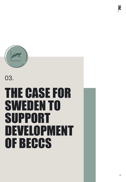# THE CASE FOR SWEDEN TO SUPPORT DEVELOPMENT OF BECCS

03.



 $\overline{\mathbf{z}}$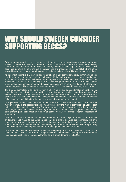# WHY SHOULD SWEDEN CONSIDER SUPPORTING BECCS?

Policy measures are in some cases needed to influence market conditions in a way that serves specific common objectives and targets for society. The field of climate is an area that is already heavily affected by a range of policy measures, aimed at achieving different objectives. The economic literature on relevant public interventions and measures is well-established and offers several insights into how such policy could be designed to best deliver different types of objectives.

An important insight is that to stimulate the uptake of a new technology, policy instruments should consider the level of maturity of the technology. If the technology is very mature, market pull instruments such as a quota scheme or technology-neutral subsidies work well to ensure sufficient investments to scale the technology. If the technology is less mature, the relevant policy instruments should instead be aimed at facilitating scaling and commercialization of the technology through targeted public investments (see for example OECD (2011) and Zetterberg et al. (2021)).

The BECCS technology is still quite far from market maturity due to a combination of still being in a technological demonstration phase and the current absence of a market-driven business case. The EU ETS does not provide incentives to capture and store biogenic emissions, and there is not yet a private market for negative emissions. Consequently, the economic literature suggests that relevant policy measures should be targeted public investments and operation support.

In a globalized world, a relevant strategy would be to wait until other countries have funded the maturity journey of the specific technology and then deploy the mature technology at a lower cost. Indeed, smaller countries such as Sweden cannot aim to support the development of all technologies and can benefit by waiting until other countries have supported the maturity development (the initial maturity journey of solar PV was for example heavily supported by Germany).

Instead, a country like Sweden should focus on supporting technologies that have a larger chance of delivering high value to the Swedish society. For example, because the technology will bring higher value to Sweden than other countries or because support to the technology development will ensure that critical know-how and business strongholds are created in Sweden, with the possibility of establishing Swedish companies at the forefront of global technological roll-out.

In this chapter, we explore whether there are compelling reasons for Sweden to support the development of BECCS, and we focus specifically on comparative advantages, Sweden-specific factors, and possibilities for Swedish strongholds in a future demand for BECCS.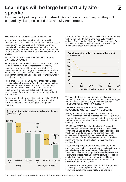### Notes: <sup>1</sup> Based on input from expert interview with Professor Filip Johnsson at the Chalmers University of Technology

**Revenue** 

GBP/ton  $CO<sub>2</sub>$ 

## **Learnings will be large but partially sitespecific**

Learning will yield significant cost-reductions in carbon capture, but they will be partially site-specific and thus not fully transferable.

### **THE TECHNICAL PERSPECTIVE IS IMPORTANT**

As previously described, public funding for specific technologies, such as BECCS, can be optimal if it will result in comparative advantages for the funding country by benefitting the funding country more than other countries. In the following, we find evidence in the technical nature of BECCS suggesting that this will be the case for BECCS in Sweden.

### **SIGNIFICANT COST-REDUCTIONS FOR CARBON-CAPTURE EXPECTED**

Several carbon capture facilities are operated around the world providing proof of concept for the technology. However, few or none of them operate at full scale indicating that the technology is currently not fully mature. Studies find that significant cost-savings can be expected to arise from learning curves in capture technology when it is scaled sufficiently.

For example, McKinsey (2021) finds that potential cost reductions in carbon capture from flue gas stemming from power stations are between 30% and 65%. The study points out that the main cost reductions stem from improvements in the chemicals used in the capture process, gains from larger project scale and operational standardization.

Furthermore, the study finds that the total cost of BECCS on power stations could drop by more than 40% when including reduced costs for transport, storage and financing.

### **Overall cost negative emissions today and at scale**   $(GBP/ton CO<sub>2</sub>)$

Total Revenue

GBP/ton  $CO<sub>2</sub>$ 

Total costs

**Today Industry at GT scale**

costs

170-270

**~30%**  $\big\downarrow$ 50-70 120-220 115-195 **~40%**  $\sqrt{}$ 50-70 45-145

DNV (2018) finds that that cost-decline for CCS will be very high for the first 50m ton of yearly capacity installed globally. They state that '*If we add 60 full-scale new plants to the world's capacity, we should be able to see cost reductions at around 30% of today's level'.*

### **Overall cost of negative emissions today and at scale** (\$/ton CO2)



*the real-world experience, expertise and industrial efficiencies that result in cost reductions.'*

### **TECHNOLOGICAL LEARNINGS AND COST-REDUCTIONS ARE PARTIALLY SITE-SPECIFIC**

Having established that significant cost-reductions in capture technology can be expected when scaling BECCS, the interesting questions is to which extent the learnings will spill over from the sites and countries, which fund the first scale up of BECCS.

SOU2020:4 (2020) finds that the choice of separation technology will depend to a large extent on site-specific conditions. Examples of such more specific conditions are location availability for capture equipment, access to excess heat, the possibility to use waste heat through district heating, carbon dioxide concentration in the flue gases and whether the installation takes place at an existing plant.

Experts have pointed to the site-specific nature of the conditions causing learnings and cost-reductions to also be partially site-specific.<sup>1</sup> An example of site-specific conditions, which requires specialized learning/R&D, are sites where excess heat (used in the capture process) is available at lower than usual temperatures. These circumstances require development of new technical solutions (Johnson et al., 2020).

The evidence above suggests that BECCS is so far away from being a standard product, due to site-specific conditions, that learnings are not fully transferable.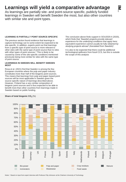# **Learnings will yield a comparative advantage**

As learnings are partially site- and point-source specific, publicly funded learnings in Sweden will benefit Sweden the most, but also other countries with similar site and point types.

### **LEARNING IS PARTIALLY POINT SOURCE-SPECIFIC**

The previous section found evidence that learnings in capture technology can to some extent be expected to be site-specific. In addition, experts point out that learnings from a specific type of point source is more relevant to other sites with the same type of point source than to sites with other types of point sources.<sup>1</sup> This is likely to be caused by some of the site-specific conditions mentioned previously being more similar for sites with the same type of point source.

### **LEARNINGS IN SWEDEN WILL BENEFIT SWEDEN MOST**

Rosa et al. (2021) find that Sweden is among the few European countries where the pulp and paper industry constitutes more than half of the biogenic point sources. This means that learnings from pulp and paper-based point sources will be most applicable in Sweden given the source-specific nature of learnings described above. However, Finland has a very similar composition of biogenic point sources and is thus expected to be able to benefit more than other countries from learnings made in Sweden based on public funding.

The conclusion above finds support in SOU2020:4 (2020), which finds that *'Swedish projects provide relevant experience for the underlying conditions that apply here; equivalent experience cannot usually be fully obtained by studying projects abroad' (translated from Swedish)'.* 

It is also to be expected that there could be additional technological spillovers from fossil CCS, but this is outside the scope of this analysis



### **Share of total biogenic CO2** (%)

Notes: <sup>1</sup> Based on input from expert interview with Professor Filip Johnsson at the Chalmers University of Technology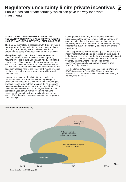# **Regulatory uncertainty limits private incentives**

Public funds can create certainty, which can pave the way for private investments.

### **LARGE CAPITAL INVESTMENTS AND LIMITED REGULATORY CERTAINTY MAKES PRIVATE FUNDING UNLIKELY WITHOUT SUBSTANTIAL PUBLIC SUPPORT**

The BECCS technology is associated with three key factors that warrant public support: High up-front investment costs, technological immaturity and a business case that is determined by policy measures which are not in place yet.

The up-front capital costs of BECCS are expected to constitute around 40% of total costs (see Chapter 2), requiring investors to take a substantial risk by committing a large share of investments before any revenue streams are in place. Combined with the fact that the technology is still only being demonstrated in smaller scale and therefore adds technological risks to the investment, makes investors require a predictable revenue stream to provide a solid business case.

However, the main problem is that there is indeed no predictable revenue stream yet. Even though negative emissions are expected to play a major role in meeting the Swedish climate targets, there are currently no incentives to develop and commercialize the technology. The EU ETS price does not incentivize CCS on biogenic sources and there is not yet a private market for trading negative emissions. So, despite a strong ambition to become net zero in 2045, the policy measures to make this happen are not in place yet.

Consequently, without any public support, the entire business case for a private investor will be dependent on an expectation that policy makers will put in place the necessary measures in the future. An expectation that may become true but will mostly likely not lead to any private investments.

This is supported by Zetterberg et al. (2021) which find that incentives for BECCS should be focused on state support in the beginning and then gradually rely on a combination of direct control via quotas and indirect measures, such as voluntary markets, where companies and other governments can purchase negative emissions from BECCS, cf. figure below:

*'…if the state would support the establishment of the first BECCS operators, this would facilitate for voluntary markets to procure credits and would help establishing a market price for BECCS.'*





Source: Zetterberg et al (2021), page 13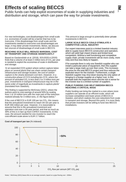# **Effects of scaling BECCS**

Public funds can help exploit economies of scale in supplying industries and distribution and storage, which can pave the way for private investments.

For new technologies, cost disadvantages from small scale (i.e. economies of scale) will be a barrier that has to be overcome. If the disadvantage from small scale and the investments needed to overcome cost disadvantages are large, it may deter private investments. Below, we discuss two sources of disadvantage of small scale in BECCS.

### **REACHING SCALE WILL REDUCE MARGINAL COST OF TRANSPORT AND STORAGE SIGNIFICANTLY**

Based on Gardarsdottir et al. (2018), SOU2020:4 (2020) finds that a volume of at least 2 million tons of  $CO<sub>2</sub>$  per year is needed to exploit the economies of scale in distribution and storage:

*'In an expanded CCS system where carbon capture takes place on several plants that can share certain transport infrastructure and storage location, the cost of carbon capture is the clearly dominant cost item. However, in a construction phase of CCS including bio-CCS, where the amount of secluded CO<sup>2</sup> is less than 2 to 3 million tons per year, investments in transport infrastructure may be in the same order of magnitude as investments in capture plants'*  (translated from Swedish).

This finding is supported by McKinsey (2021), where the authors point to cost-savings of around 50% by scaling from 1 to 10 million tons with the main part of the reduction realized already for 3 million tons, cf. the figure below.<sup>1</sup>

If the cost of BECCS is EUR 100 per ton  $CO<sub>2</sub>$ , this means that the annualized investment to reach 3m ton per year is EUR 300 million per year. However, it is reasonable to assume that this is the annualized investment and operation cost over a 30-year period, and that as much as 30% of this is in fact up-front CAPEX investments. In this case, the amount needed for one investor to reach the cost-efficient scale alone is EUR 2.7 billion.

This amount is large enough to potentially deter private investments in BECCS.

### **LARGE SCALE BECCS COULD STIMULATE A COMPETITIVE LOCAL INDUSTRY**

Our expert interviews point to a limited Swedish industry able to supply future BECCS construction and operation, which will yield high import shares and limited local competition. Without a well functioning and competitive supply chain, private investments will be more costly, more risky and thus less likely to happen.

If for example there is only one Swedish supplier who can install a particular piece of equipment, then this supplier can take a large mark-up over their costs. This increases the price for the total BECCS project and thus reduces the expected return for the investor. Furthermore, a single Swedish supplier may shut-down leaving the only option of bringing in a foreign supplier at a higher cost. In this example both the expected return and the risk is worse for the investor due to a limited number of suppliers.

### **PUBLIC FUNDING CAN HELP SWEDISH BECCS REACHING A CRITICAL MASS**

Public funding can bring the market to a size where more suppliers can operate at an efficient scale, which will increase competition and lower prices of BECCS in Sweden, and which realizes the cost-reductions from scale in transport and storage. Beyond this point, it is more likely that private investors will be willing to fund new BECCS installations.





Notes: <sup>1</sup> McKinsey (2021) bases this on an average scenario, based on a pipe flowing over ~200km.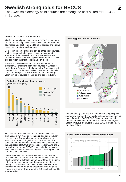## **Swedish strongholds for BECCS**

The Swedish bioenergy point sources are among the best suited for BECCS in Europe.

### **POTENTIAL FOR SCALE IN BECCS**

The fundamental premise for scale in BECCS is that there are sources of biogenic emissions, which can be exploited at a reasonable cost compared to other sources of negative emissions or emissions abatement.

Sources of biogenic emissions can be either point sources, such as biomass-fueled power plants, or distributed sources such as crop residue, food waste and manure. Point sources are generally significantly cheaper to exploit, and this report thus focuses primarily on these.

Rosa et al. (2021) find that the combined amount of biogenic  $CO<sub>2</sub>$  emissions from point sources in Sweden is the highest in Europe, cf. the figure below (wastewater left out due to lack of data availability, however the volume is very low). Along with Finland, Sweden has a very large volume of point sources in the pulp and paper industry.

**Emissions from biogenic point sources** 



SOU2020:4 (2020) finds that the abundant access to biomass as a raw material for the pulp and paper industry has resulted in Sweden having many significant point emission sources of biogenic  $CO<sub>2</sub>$ . The authors further conclude that the potential for negative emissions through the application of BECCS at these sites is high. And finally, the authors argue that BECCS is well suited to be a costeffective measure to attain the long-term climate goal of net zero emissions by 2045.

One of the drivers of cost-effectiveness is point source proximity to the coast, which is demonstrated in Rosa et al. (2021), where the authors find that many Swedish biogenic point sources are located near the coast, cf. top figure to the right. This drives lower costs for distribution because there is no need for on-land transport between the point source and a harbor from where the  $CO<sub>2</sub>$  can be shipped to a storage site.

### **Existing point sources in Europe**



Johnson et al. (2020) find that the Swedish biogenic point sources are comparable to fossil point sources on expected costs of applying CCS/BECCS. Thus, the biogenic point sources are estimated to be in the middle of the marginal abatement curve of industrial CCS/BECCS in Sweden , cf. the figure below.



### **Costs for capture from Swedish point sources**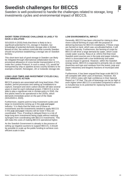## **Swedish challenges for BECCS**

Sweden is well-positioned to handle the challenges related to storage, long investments cycles and environmental impact of BECCS.

### **SHORT-TERM STORAGE CHALLENGE IS LIKELY TO HAVE A SOLUTION**

SOU2020:4 (2020) finds that there is likely to be a significant potential for  $CO<sub>2</sub>$  storage in Sweden, but knowledge of potential domestic storage sites is limited. Based on this, the authors conclude that currently Sweden should not prioritize establishing a storage site on Swedish territory.

This short-term lack of good storage in Sweden can likely be mitigated through international collaboration due to provisional allowance of cross-border transportation of  $CO<sub>2</sub>$ under the London Protocol. In such a setup,  $CO<sub>2</sub>$  would be transported by ship or pipeline across country borders to for example a Danish, Norwegian, UK or Icelandic storage site.

### **LONG LEAD TIMES AND INVESTMENT CYCLES CALL FOR IMMIDIATE ACTION**

BECCS projects are associated with long lead times. Pilot studies, permit processes and setting up installations to capture, transport and store carbon dioxide will take several years in total for each individual project. If BECCS is to be able to play a significant role in climate policy in 2045, the first plants need to be operational in the 2020s, which demands immediate action on the part of the State (SOU2020:4, 2020).

Furthermore, experts point to long investment cycles and large re-investments coming up in the pulp and paper industry.<sup>1</sup> It is likely that the total cost of these reinvestments and the investments needed to apply BECCS in the pulp and paper industry will be lower if they are coordinated. Thus, if funding is delayed there is a risk of large long-term investments being made without realizing synergies from coordinating with BECCS investments. This will make the costs of making BECCS operational higher.

As the Swedish Government is already in the process of setting up negative auctions to support BECCS, it should be possible to scale up the public funding to achieve costefficient scale in time.

### **LOW ENVIRONMENTAL IMPACT**

Generally, BECCS has been criticized for risking to drive mono-cultural farming of crops with the purpose of delivering biomass for BECCS installations. If these crops are farmed on land, which was uncultivated before, it will harm bio-diversity. Furthermore, the farming of crops for BECCS will drive a large demand for water, which could create water scarcity. Rosa et al. (2021) find that most Swedish point sources are in the pulp and paper industry, which is associated with a low biodiversity and water scarcity impact in general. However, within the Swedish energy sector, BECCS is expected to primarily rely on slash (branches and tops and residues from the board, pulp and paper industries) and biogenic fractions of municipal solid waste.

Furthermore, it has been argued that large scale BECCS will compete with other uses of biomass. However, the IPCC (2021) notes with high confidence in their Special Report on 1.5⁰ that '*The use of bioenergy can be as high or even higher when BECCS is excluded compared to when it is included due to its potential for replacing fossil fuels across sectors'.*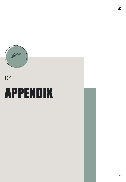

# APPENDIX 04.

 $\overline{\mathbf{z}}$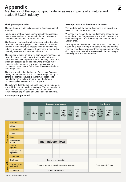# **Appendix**

Mechanics of the input-output model to assess impacts of a mature and scaled BECCS industry.

### **The input-output model<sup>1</sup>**

The input-output model is based on the Swedish national accounts.

Input-output analysis relies on inter-industry transactions data to estimate how an increase in demand affects the economy in terms of value-added and jobs.

The flows of goods and services between industries allow us to calculate industry-specific multipliers that map how the rest of the economy is affected when demand in one industry increases. In this case, the increase in demand is driven by accelerated investments in BECCS.

The intuition is that if demand for aero planes increases, for example, suppliers in the steal, textile and electronics industries also have to produce more. Similarly, if the steal, textile and electronics industries have to produce more, suppliers in the computer and wood industry have to produce more and so on. Below is an illustration of a basic input-output table.

The rows describe the distribution of a producer's output throughout the economy. The producers' output can go to other producers as input (e.g. the farmers produce to manufacturing) or to final demand (e.g. the farmers produce to private consumption or export).

The columns describe the composition of inputs required by a specific industry to produce its output. This includes input from other industries, as well as *value added* which includes labor, depreciation of capital, taxes and imports.

### **Basic input-output table<sup>1</sup>**

#### **Assumptions about the demand increase**

The modelling of the demand increase is conservatively based on costs rather than price.

We model the size of the demand increase based on the expenditures per  $CO<sub>2</sub>$  captured and stored. However, the estimated expenditures are unlikely to reflect the future auction price.

If the input-output table had included a BECCs industry, it would have been more appropriate to model the demand increase based on revenues rather than expenditures. We did not pursuit to use price projections in the input-output modelling as these are uncertain.

|             |                                       | <b>Producers as consumers</b>                       |        |                        |                  |                             |                                  |                                   |                                         | <b>Final demand</b>           |                                                   |                                                 |                                   |                       |
|-------------|---------------------------------------|-----------------------------------------------------|--------|------------------------|------------------|-----------------------------|----------------------------------|-----------------------------------|-----------------------------------------|-------------------------------|---------------------------------------------------|-------------------------------------------------|-----------------------------------|-----------------------|
|             |                                       | Agri-<br>culture                                    | Mining | Con-<br>struc-<br>tion | <b>Utilities</b> | Trade                       | Trans-<br>port<br>and<br>storage | Elec-<br>trical<br>equip-<br>ment | Machi-<br>nery<br>and<br>equip-<br>ment | Human<br>health               | Personal<br>consump<br>-tion<br>expendi-<br>tures | Gross<br>private<br>domestic<br>invest-<br>ment | Govern-<br>ment<br>pur-<br>chases | <b>Net</b><br>exports |
|             | Agriculture                           |                                                     |        |                        |                  |                             |                                  |                                   |                                         |                               |                                                   |                                                 |                                   |                       |
|             | Mining                                |                                                     |        |                        |                  |                             |                                  |                                   |                                         |                               |                                                   |                                                 |                                   |                       |
|             | Construction                          |                                                     |        |                        |                  |                             |                                  |                                   |                                         |                               |                                                   |                                                 |                                   |                       |
|             | <b>Utilities</b>                      |                                                     |        |                        |                  |                             |                                  |                                   |                                         |                               |                                                   |                                                 |                                   |                       |
|             | Trade                                 |                                                     |        |                        |                  |                             |                                  |                                   |                                         |                               |                                                   |                                                 |                                   |                       |
| Producers   | <b>Transport and</b><br>storage       |                                                     |        |                        |                  | <b>Inter-industry flows</b> |                                  |                                   |                                         |                               |                                                   |                                                 |                                   |                       |
|             | Electrical<br>equipment               |                                                     |        |                        |                  |                             |                                  |                                   |                                         |                               |                                                   |                                                 |                                   |                       |
|             | Machinery and<br>equipment            |                                                     |        |                        |                  |                             |                                  |                                   |                                         |                               |                                                   |                                                 |                                   |                       |
|             | Human health                          |                                                     |        |                        |                  |                             |                                  |                                   |                                         |                               |                                                   |                                                 |                                   |                       |
|             | <b>Employees</b>                      | Employee compensation                               |        |                        |                  |                             |                                  |                                   |                                         |                               |                                                   |                                                 |                                   |                       |
| Value added | <b>Business owners</b><br>and capital | Profit-type income ad capital consumption allowance |        |                        |                  |                             |                                  |                                   |                                         | <b>Gross Domestic Product</b> |                                                   |                                                 |                                   |                       |
|             | Government                            |                                                     |        |                        |                  | Indirect business taxes     |                                  |                                   |                                         |                               |                                                   |                                                 |                                   |                       |

Sources: <sup>1</sup> Miller and Blair (2009)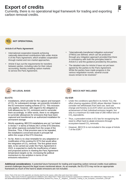## **Export of credits**

Currently, there is no operational legal framework for trading and exporting carbon removal credits.



**NOT OPERATIONAL**

### **Article 6 of Paris Agreement**

- International cooperation towards achieving nationally determined contributions falls under Article 6 of the Paris Agreement, which enables cooperation through market and non-market approaches.
- Article 6 lays out the requirements for transfers between parties, including rules for their robust accounting, thereby enabling carbon markets to service the Paris Agreement.
- "Internationally transferred mitigation outcomes" (ITMOs) are defined, which can be produced through any mitigation approach provided that there is consistency with both the principles listed in Article 6.2 and the guidance provided by the parties.
- The detailed rules for Article 6 have not yet been agreed by the parties to the Paris Agreement. While the parties have made progress in the various negotiation rounds, several crucial issues remain to be resolved.<sup>1</sup>



• **NO LEGAL BASIS**

### **EU ETS**

- Installations, which provide for the capture and transport of  $CO<sub>2</sub>$  for subsequent storage, are presently included in the EU emissions trading scheme (ETS). This inclusion only applies, however, with regard to the obligation to hold allowances for  $CO<sub>2</sub>$  emissions and to surrender them accordingly. In other words, there is no obligation to surrender allowances for emissions that have been captured and transferred to an authorized installation for permanent storage.
- Strictly speaking, BECCS installations are not "not listed in Annex I" in terms of Article 24(1) of the ETS Directive, but rather expressly excluded from the scope of the Directive. Thus, if that provision was to be repealed, the installations concerned would in principle fall within the scope of the ETS Directive.
- So far, there is no clear timetable for any adaptation or modification of the existing EU ETS that would allow the integration of CO<sub>2</sub> removal. The first global stock take, to be carried out under the Paris Agreement in 2023, is expected to clarify the insufficiency of taken and proposed actions in meeting the Paris Agreement temperature targets so far, increasing the political momentum to rise ambition in terms of net emissions reductions.<sup>2</sup>

### • **BECCS NOT INCLUDED**

### **EU ESR**

- Under the conditions specified in its Article 7(1), the effort sharing regulation (ESR) allows Member States to consider net withdrawals from land use, land use change and forestry (LULUCF) when accounting for the achievement of their individual emission targets, but only to a maximum EU-wide total of 280 million tons of  $CO<sub>2</sub>$  equivalents.
- Thus, a precedent exists in EU law for recognizing the need to offset hard-to-abate emissions through ecosystem-based CO $_2$  removals.
- However, BECCS is not included in the scope of Article 7 of the ESR.<sup>3</sup>

**Additional considerations:** A potential future framework for trading and exporting carbon removal credits must address several challenges beyond the legal issues mentioned above. As an example, the EU ETS may not be an appropriate framework as much of the hard to abate emissions are not included.

Notes: Parts of the text in this appendix are directly cited from the source, while other parts have been edited.<br>Sources: 1https://www.frontiersin.org/articles/10.3389/fclim.2021.685227/full \\ <sup>2</sup>https://www.frontiersin. kiel.de/fileadmin/Dateiverwaltung/IfW-Publications/Wilfried\_Rickels/The\_Future\_of\_\_Negative\_\_Emissions\_Trading\_in\_the\_European\_Union/KWP\_2164.pdf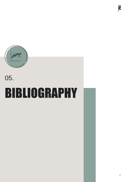

# BIBLIOGRAPHY 05.

 $\overline{\mathbf{z}}$